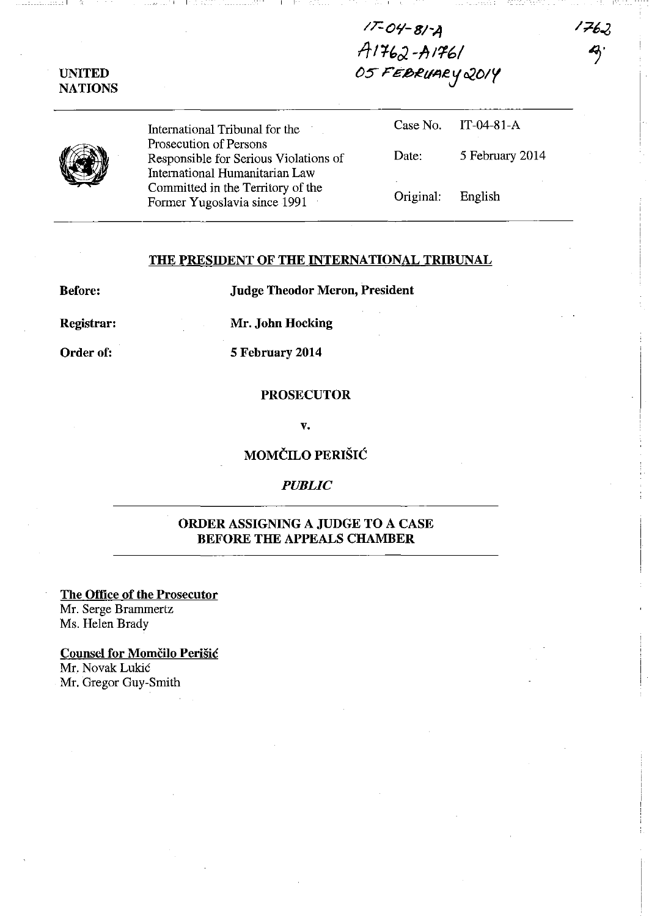$17-04-8/4$ *IT* I '1{;J. -IT */'/6/ OS- FE.lbRdAey02DIY* 

1762

| UNITED         |
|----------------|
| <b>NATIONS</b> |

\_\_\_\_\_\_\_\_\_\_\_\_\_\_ 1

International Tribunal for the Prosecution of Persons Responsible for Serious Violation International Humanitarian Law Committed in the Territory of the Former Yugoslavia since 1991

|       |                        | Case No. IT-04-81-A |
|-------|------------------------|---------------------|
| is of | Date:                  | 5 February 2014     |
|       | ٠<br>Original: English |                     |

## THE PRESIDENT OF THE INTERNATIONAL TRIBUNAL

Before: Judge Theodor Meron, President

Registrar: Mr. John Hocking

Order of: 5 February 2014

## **PROSECUTOR**

v.

MOMČILO PERIŠIĆ

*PUBLIC* 

## ORDER ASSIGNING A JUDGE TO A CASE BEFORE THE APPEALS CHAMBER

The Office of the Prosecutor Mr. Serge Brammertz Ms. Helen Brady

Counsel for Momčilo Perišić Mr. Novak Lukic Mr. Gregor Guy-Smith